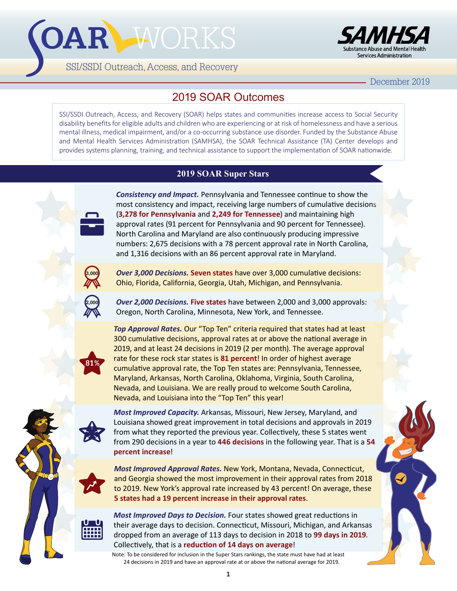# OAR WORKS





December 2019

## 2019 SOAR Outcomes

SSI/SSDI Outreach, Access, and Recovery (SOAR) helps states and communities increase access to Social Security disability benefits for eligible adults and children who are experiencing or at risk of homelessness and have a serious mental illness, medical impairment, and/or a co-occurring substance use disorder. Funded by the Substance Abuse and Mental Health Services Administration (SAMHSA), the SOAR Technical Assistance (TA) Center develops and provides systems planning, training, and technical assistance to support the implementation of SOAR nationwide.

## **2019 SOAR Super Stars**



*Consistency and Impact.* Pennsylvania and Tennessee continue to show the most consistency and impact, receiving large numbers of cumulative decisions (**3,278 for Pennsylvania** and **2,249 for Tennessee**) and maintaining high approval rates (91 percent for Pennsylvania and 90 percent for Tennessee). North Carolina and Maryland are also continuously producing impressive numbers: 2,675 decisions with a 78 percent approval rate in North Carolina, and 1,316 decisions with an 86 percent approval rate in Maryland.



*Over 3,000 Decisions.* **Seven states** have over 3,000 cumulative decisions: Ohio, Florida, California, Georgia, Utah, Michigan, and Pennsylvania.



*Over 2,000 Decisions.* **Five states** have between 2,000 and 3,000 approvals: Oregon, North Carolina, Minnesota, New York, and Tennessee.



*Top Approval Rates.* Our "Top Ten" criteria required that states had at least 300 cumulative decisions, approval rates at or above the national average in 2019, and at least 24 decisions in 2019 (2 per month). The average approval rate for these rock star states is **81 percent**! In order of highest average cumulative approval rate, the Top Ten states are: Pennsylvania, Tennessee, Maryland, Arkansas, North Carolina, Oklahoma, Virginia, South Carolina, Nevada, and Louisiana. We are really proud to welcome South Carolina, Nevada, and Louisiana into the "Top Ten" this year!



*Most Improved Capacity.* Arkansas, Missouri, New Jersey, Maryland, and Louisiana showed great improvement in total decisions and approvals in 2019 from what they reported the previous year. Collectively, these 5 states went from 290 decisions in a year to **446 decisions** in the following year. That is a **54 percent increase**!



*Most Improved Approval Rates.* New York, Montana, Nevada, Connecticut, and Georgia showed the most improvement in their approval rates from 2018 to 2019. New York's approval rate increased by 43 percent! On average, these **5 states had a 19 percent increase in their approval rates**.



*Most Improved Days to Decision.* Four states showed great reductions in their average days to decision. Connecticut, Missouri, Michigan, and Arkansas dropped from an average of 113 days to decision in 2018 to **99 days in 2019**. Collectively, that is a **reduction of 14 days on average**!

Note: To be considered for inclusion in the Super Stars rankings, the state must have had at least 24 decisions in 2019 and have an approval rate at or above the national average for 2019.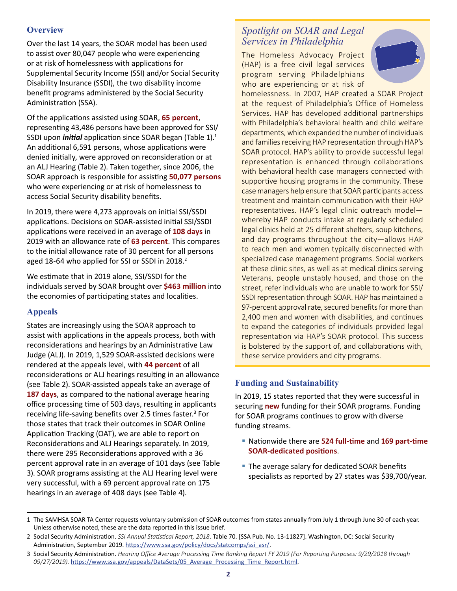#### **Overview**

Over the last 14 years, the SOAR model has been used to assist over 80,047 people who were experiencing or at risk of homelessness with applications for Supplemental Security Income (SSI) and/or Social Security Disability Insurance (SSDI), the two disability income benefit programs administered by the Social Security Administration (SSA).

Of the applications assisted using SOAR, **65 percent**, representing 43,486 persons have been approved for SSI/ SSDI upon *initial* application since SOAR began (Table 1).<sup>1</sup> An additional 6,591 persons, whose applications were denied initially, were approved on reconsideration or at an ALJ Hearing (Table 2). Taken together, since 2006, the SOAR approach is responsible for assisting **50,077 persons** who were experiencing or at risk of homelessness to access Social Security disability benefits.

In 2019, there were 4,273 approvals on initial SSI/SSDI applications. Decisions on SOAR-assisted initial SSI/SSDI applications were received in an average of **108 days** in 2019 with an allowance rate of **63 percent**. This compares to the initial allowance rate of 30 percent for all persons aged 18-64 who applied for SSI or SSDI in 2018.<sup>2</sup>

We estimate that in 2019 alone, SSI/SSDI for the individuals served by SOAR brought over **\$463 million** into the economies of participating states and localities.

#### **Appeals**

States are increasingly using the SOAR approach to assist with applications in the appeals process, both with reconsiderations and hearings by an Administrative Law Judge (ALJ). In 2019, 1,529 SOAR-assisted decisions were rendered at the appeals level, with **44 percent** of all reconsiderations or ALJ hearings resulting in an allowance (see Table 2). SOAR-assisted appeals take an average of **187 days**, as compared to the national average hearing office processing time of 503 days, resulting in applicants receiving life-saving benefits over 2.5 times faster.<sup>3</sup> For those states that track their outcomes in SOAR Online Application Tracking (OAT), we are able to report on Reconsiderations and ALJ Hearings separately. In 2019, there were 295 Reconsiderations approved with a 36 percent approval rate in an average of 101 days (see Table 3). SOAR programs assisting at the ALJ Hearing level were very successful, with a 69 percent approval rate on 175 hearings in an average of 408 days (see Table 4).

## *Spotlight on SOAR and Legal Services in Philadelphia*

The Homeless Advocacy Project (HAP) is a free civil legal services program serving Philadelphians who are experiencing or at risk of



homelessness. In 2007, HAP created a SOAR Project at the request of Philadelphia's Office of Homeless Services. HAP has developed additional partnerships with Philadelphia's behavioral health and child welfare departments, which expanded the number of individuals and families receiving HAP representation through HAP's SOAR protocol. HAP's ability to provide successful legal representation is enhanced through collaborations with behavioral health case managers connected with supportive housing programs in the community. These case managers help ensure that SOAR participants access treatment and maintain communication with their HAP representatives. HAP's legal clinic outreach model whereby HAP conducts intake at regularly scheduled legal clinics held at 25 different shelters, soup kitchens, and day programs throughout the city—allows HAP to reach men and women typically disconnected with specialized case management programs. Social workers at these clinic sites, as well as at medical clinics serving Veterans, people unstably housed, and those on the street, refer individuals who are unable to work for SSI/ SSDI representation through SOAR. HAP has maintained a 97-percent approval rate, secured benefits for more than 2,400 men and women with disabilities, and continues to expand the categories of individuals provided legal representation via HAP's SOAR protocol. This success is bolstered by the support of, and collaborations with, these service providers and city programs.

#### **Funding and Sustainability**

In 2019, 15 states reported that they were successful in securing **new** funding for their SOAR programs. Funding for SOAR programs continues to grow with diverse funding streams.

- Nationwide there are **524 full-time** and **169 part-time SOAR-dedicated positions**.
- **The average salary for dedicated SOAR benefits** specialists as reported by 27 states was \$39,700/year.

<sup>1</sup> The SAMHSA SOAR TA Center requests voluntary submission of SOAR outcomes from states annually from July 1 through June 30 of each year. Unless otherwise noted, these are the data reported in this issue brief.

<sup>2</sup> Social Security Administration. *SSI Annual Statistical Report, 2018*. Table 70. [SSA Pub. No. 13-11827]. Washington, DC: Social Security Administration, September 2019. [https://www.ssa.gov/policy/docs/statcomps/ssi\\_asr/](https://www.ssa.gov/policy/docs/statcomps/ssi_asr/).

<sup>3</sup> Social Security Administration. *Hearing Office Average Processing Time Ranking Report FY 2019 (For Reporting Purposes: 9/29/2018 through 09/27/2019).* [https://www.ssa.gov/appeals/DataSets/05\\_Average\\_Processing\\_Time\\_Report.html](https://www.ssa.gov/appeals/DataSets/05_Average_Processing_Time_Report.html).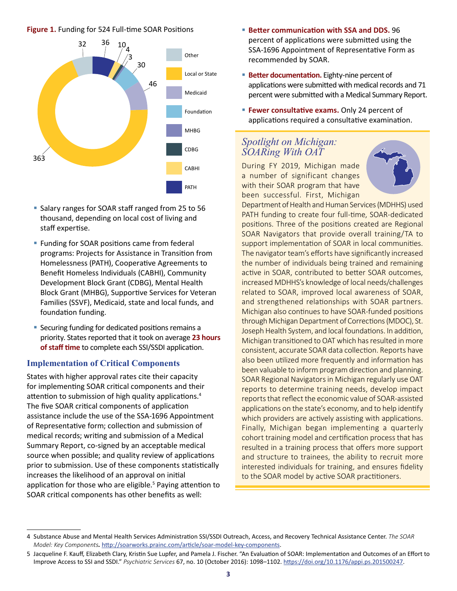#### **Figure 1.** Funding for 524 Full-time SOAR Positions



- **Salary ranges for SOAR staff ranged from 25 to 56** thousand, depending on local cost of living and staff expertise.
- **Funding for SOAR positions came from federal** programs: Projects for Assistance in Transition from Homelessness (PATH), Cooperative Agreements to Benefit Homeless Individuals (CABHI), Community Development Block Grant (CDBG), Mental Health Block Grant (MHBG), Supportive Services for Veteran Families (SSVF), Medicaid, state and local funds, and foundation funding.
- **Securing funding for dedicated positions remains a** priority. States reported that it took on average **23 hours of staff time** to complete each SSI/SSDI application.

#### **Implementation of Critical Components**

States with higher approval rates cite their capacity for implementing SOAR critical components and their attention to submission of high quality applications.<sup>4</sup> The five SOAR critical components of application assistance include the use of the SSA-1696 Appointment of Representative form; collection and submission of medical records; writing and submission of a Medical Summary Report, co-signed by an acceptable medical source when possible; and quality review of applications prior to submission. Use of these components statistically increases the likelihood of an approval on initial application for those who are eligible.<sup>5</sup> Paying attention to SOAR critical components has other benefits as well:

- **Better communication with SSA and DDS.** 96 percent of applications were submitted using the SSA-1696 Appointment of Representative Form as recommended by SOAR.
- **Better documentation.** Eighty-nine percent of applications were submitted with medical records and 71 percent were submitted with a Medical Summary Report.
- **Fewer consultative exams.** Only 24 percent of applications required a consultative examination.

## *Spotlight on Michigan: SOARing With OAT*

During FY 2019, Michigan made a number of significant changes with their SOAR program that have been successful. First, Michigan



Department of Health and Human Services (MDHHS) used PATH funding to create four full-time, SOAR-dedicated positions. Three of the positions created are Regional SOAR Navigators that provide overall training/TA to support implementation of SOAR in local communities. The navigator team's efforts have significantly increased the number of individuals being trained and remaining active in SOAR, contributed to better SOAR outcomes, increased MDHHS's knowledge of local needs/challenges related to SOAR, improved local awareness of SOAR, and strengthened relationships with SOAR partners. Michigan also continues to have SOAR-funded positions through Michigan Department of Corrections (MDOC), St. Joseph Health System, and local foundations. In addition, Michigan transitioned to OAT which has resulted in more consistent, accurate SOAR data collection. Reports have also been utilized more frequently and information has been valuable to inform program direction and planning. SOAR Regional Navigators in Michigan regularly use OAT reports to determine training needs, develop impact reports that reflect the economic value of SOAR-assisted applications on the state's economy, and to help identify which providers are actively assisting with applications. Finally, Michigan began implementing a quarterly cohort training model and certification process that has resulted in a training process that offers more support and structure to trainees, the ability to recruit more interested individuals for training, and ensures fidelity to the SOAR model by active SOAR practitioners.

<sup>4</sup> Substance Abuse and Mental Health Services Administration SSI/SSDI Outreach, Access, and Recovery Technical Assistance Center. *The SOAR Model: Key Components.* <http://soarworks.prainc.com/article/soar-model-key-components>.

<sup>5</sup> Jacqueline F. Kauff, Elizabeth Clary, Kristin Sue Lupfer, and Pamela J. Fischer. "An Evaluation of SOAR: Implementation and Outcomes of an Effort to Improve Access to SSI and SSDI." *Psychiatric Services* 67, no. 10 (October 2016): 1098–1102. <https://doi.org/10.1176/appi.ps.201500247>.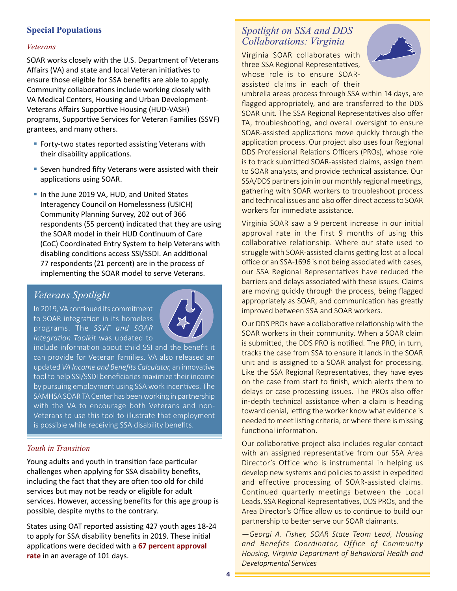#### **Special Populations**

#### *Veterans*

SOAR works closely with the U.S. Department of Veterans Affairs (VA) and state and local Veteran initiatives to ensure those eligible for SSA benefits are able to apply. Community collaborations include working closely with VA Medical Centers, Housing and Urban Development-Veterans Affairs Supportive Housing (HUD-VASH) programs, Supportive Services for Veteran Families (SSVF) grantees, and many others.

- **Forty-two states reported assisting Veterans with** their disability applications.
- **Seven hundred fifty Veterans were assisted with their** applications using SOAR.
- In the June 2019 VA, HUD, and United States Interagency Council on Homelessness (USICH) Community Planning Survey, 202 out of 366 respondents (55 percent) indicated that they are using the SOAR model in their HUD Continuum of Care (CoC) Coordinated Entry System to help Veterans with disabling conditions access SSI/SSDI. An additional 77 respondents (21 percent) are in the process of implementing the SOAR model to serve Veterans.

## *Veterans Spotlight*

In 2019, VA continued its commitment to SOAR integration in its homeless programs. The *SSVF and SOAR Integration Toolkit* was updated to



include information about child SSI and the benefit it can provide for Veteran families. VA also released an updated *VA Income and Benefits Calculator*, an innovative tool to help SSI/SSDI beneficiaries maximize their income by pursuing employment using SSA work incentives. The SAMHSA SOAR TA Center has been working in partnership with the VA to encourage both Veterans and non-Veterans to use this tool to illustrate that employment is possible while receiving SSA disability benefits.

#### *Youth in Transition*

Young adults and youth in transition face particular challenges when applying for SSA disability benefits, including the fact that they are often too old for child services but may not be ready or eligible for adult services. However, accessing benefits for this age group is possible, despite myths to the contrary.

States using OAT reported assisting 427 youth ages 18-24 to apply for SSA disability benefits in 2019. These initial applications were decided with a **67 percent approval rate** in an average of 101 days.

## *Spotlight on SSA and DDS Collaborations: Virginia*

Virginia SOAR collaborates with three SSA Regional Representatives, whose role is to ensure SOARassisted claims in each of their



umbrella areas process through SSA within 14 days, are flagged appropriately, and are transferred to the DDS SOAR unit. The SSA Regional Representatives also offer TA, troubleshooting, and overall oversight to ensure SOAR-assisted applications move quickly through the application process. Our project also uses four Regional DDS Professional Relations Officers (PROs), whose role is to track submitted SOAR-assisted claims, assign them to SOAR analysts, and provide technical assistance. Our SSA/DDS partners join in our monthly regional meetings, gathering with SOAR workers to troubleshoot process and technical issues and also offer direct access to SOAR workers for immediate assistance.

Virginia SOAR saw a 9 percent increase in our initial approval rate in the first 9 months of using this collaborative relationship. Where our state used to struggle with SOAR-assisted claims getting lost at a local office or an SSA-1696 is not being associated with cases, our SSA Regional Representatives have reduced the barriers and delays associated with these issues. Claims are moving quickly through the process, being flagged appropriately as SOAR, and communication has greatly improved between SSA and SOAR workers.

Our DDS PROs have a collaborative relationship with the SOAR workers in their community. When a SOAR claim is submitted, the DDS PRO is notified. The PRO, in turn, tracks the case from SSA to ensure it lands in the SOAR unit and is assigned to a SOAR analyst for processing. Like the SSA Regional Representatives, they have eyes on the case from start to finish, which alerts them to delays or case processing issues. The PROs also offer in-depth technical assistance when a claim is heading toward denial, letting the worker know what evidence is needed to meet listing criteria, or where there is missing functional information.

Our collaborative project also includes regular contact with an assigned representative from our SSA Area Director's Office who is instrumental in helping us develop new systems and policies to assist in expedited and effective processing of SOAR-assisted claims. Continued quarterly meetings between the Local Leads, SSA Regional Representatives, DDS PROs, and the Area Director's Office allow us to continue to build our partnership to better serve our SOAR claimants.

*—Georgi A. Fisher, SOAR State Team Lead, Housing and Benefits Coordinator, Office of Community Housing, Virginia Department of Behavioral Health and Developmental Services*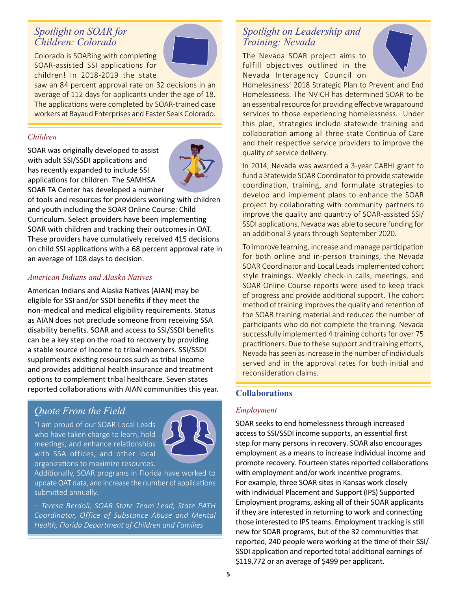## *Spotlight on SOAR for Children: Colorado*

Colorado is SOARing with completing SOAR-assisted SSI applications for children! In 2018-2019 the state

saw an 84 percent approval rate on 32 decisions in an average of 112 days for applicants under the age of 18.

The applications were completed by SOAR-trained case workers at Bayaud Enterprises and Easter Seals Colorado.

#### *Children*

SOAR was originally developed to assist with adult SSI/SSDI applications and has recently expanded to include SSI applications for children. The SAMHSA SOAR TA Center has developed a number



of tools and resources for providers working with children and youth including the SOAR Online Course: Child Curriculum. Select providers have been implementing SOAR with children and tracking their outcomes in OAT. These providers have cumulatively received 415 decisions on child SSI applications with a 68 percent approval rate in an average of 108 days to decision.

#### *American Indians and Alaska Natives*

American Indians and Alaska Natives (AIAN) may be eligible for SSI and/or SSDI benefits if they meet the non-medical and medical eligibility requirements. Status as AIAN does not preclude someone from receiving SSA disability benefits. SOAR and access to SSI/SSDI benefits can be a key step on the road to recovery by providing a stable source of income to tribal members. SSI/SSDI supplements existing resources such as tribal income and provides additional health insurance and treatment options to complement tribal healthcare. Seven states reported collaborations with AIAN communities this year.

## *Quote From the Field*

"I am proud of our SOAR Local Leads who have taken charge to learn, hold meetings, and enhance relationships with SSA offices, and other local organizations to maximize resources.



Additionally, SOAR programs in Florida have worked to update OAT data, and increase the number of applications submitted annually.

*– Teresa Berdoll, SOAR State Team Lead, State PATH Coordinator, Office of Substance Abuse and Mental Health, Florida Department of Children and Families*

## *Spotlight on Leadership and Training: Nevada*

The Nevada SOAR project aims to fulfill objectives outlined in the Nevada Interagency Council on



Homelessness' 2018 Strategic Plan to Prevent and End Homelessness. The NVICH has determined SOAR to be an essential resource for providing effective wraparound services to those experiencing homelessness. Under this plan, strategies include statewide training and collaboration among all three state Continua of Care and their respective service providers to improve the quality of service delivery.

In 2014, Nevada was awarded a 3-year CABHI grant to fund a Statewide SOAR Coordinator to provide statewide coordination, training, and formulate strategies to develop and implement plans to enhance the SOAR project by collaborating with community partners to improve the quality and quantity of SOAR-assisted SSI/ SSDI applications. Nevada was able to secure funding for an additional 3 years through September 2020.

To improve learning, increase and manage participation for both online and in-person trainings, the Nevada SOAR Coordinator and Local Leads implemented cohort style trainings. Weekly check-in calls, meetings, and SOAR Online Course reports were used to keep track of progress and provide additional support. The cohort method of training improves the quality and retention of the SOAR training material and reduced the number of participants who do not complete the training. Nevada successfully implemented 4 training cohorts for over 75 practitioners. Due to these support and training efforts, Nevada has seen as increase in the number of individuals served and in the approval rates for both initial and reconsideration claims.

#### **Collaborations**

#### *Employment*

SOAR seeks to end homelessness through increased access to SSI/SSDI income supports, an essential first step for many persons in recovery. SOAR also encourages employment as a means to increase individual income and promote recovery. Fourteen states reported collaborations with employment and/or work incentive programs. For example, three SOAR sites in Kansas work closely with Individual Placement and Support (IPS) Supported Employment programs, asking all of their SOAR applicants if they are interested in returning to work and connecting those interested to IPS teams. Employment tracking is still new for SOAR programs, but of the 32 communities that reported, 240 people were working at the time of their SSI/ SSDI application and reported total additional earnings of \$119,772 or an average of \$499 per applicant.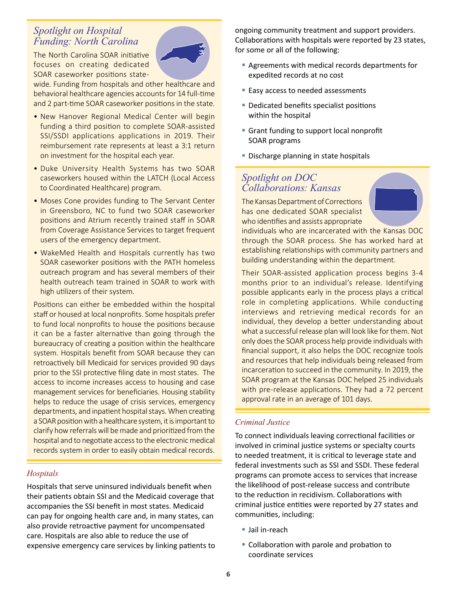## *Spotlight on Hospital Funding: North Carolina*

The North Carolina SOAR initiative focuses on creating dedicated SOAR caseworker positions state-



wide. Funding from hospitals and other healthcare and behavioral healthcare agencies accounts for 14 full-time and 2 part-time SOAR caseworker positions in the state.

- New Hanover Regional Medical Center will begin funding a third position to complete SOAR-assisted SSI/SSDI applications applications in 2019. Their reimbursement rate represents at least a 3:1 return on investment for the hospital each year.
- Duke University Health Systems has two SOAR caseworkers housed within the LATCH (Local Access to Coordinated Healthcare) program.
- Moses Cone provides funding to The Servant Center in Greensboro, NC to fund two SOAR caseworker positions and Atrium recently trained staff in SOAR from Coverage Assistance Services to target frequent users of the emergency department.
- WakeMed Health and Hospitals currently has two SOAR caseworker positions with the PATH homeless outreach program and has several members of their health outreach team trained in SOAR to work with high utilizers of their system.

Positions can either be embedded within the hospital staff or housed at local nonprofits. Some hospitals prefer to fund local nonprofits to house the positions because it can be a faster alternative than going through the bureaucracy of creating a position within the healthcare system. Hospitals benefit from SOAR because they can retroactively bill Medicaid for services provided 90 days prior to the SSI protective filing date in most states. The access to income increases access to housing and case management services for beneficiaries. Housing stability helps to reduce the usage of crisis services, emergency departments, and inpatient hospital stays. When creating a SOAR position with a healthcare system, it is important to clarify how referrals will be made and prioritized from the hospital and to negotiate access to the electronic medical records system in order to easily obtain medical records.

#### *Hospitals*

Hospitals that serve uninsured individuals benefit when their patients obtain SSI and the Medicaid coverage that accompanies the SSI benefit in most states. Medicaid can pay for ongoing health care and, in many states, can also provide retroactive payment for uncompensated care. Hospitals are also able to reduce the use of expensive emergency care services by linking patients to ongoing community treatment and support providers. Collaborations with hospitals were reported by 23 states, for some or all of the following:

- Agreements with medical records departments for expedited records at no cost
- **Easy access to needed assessments**
- **Dedicated benefits specialist positions** within the hospital
- **Grant funding to support local nonprofit** SOAR programs
- **Discharge planning in state hospitals**

## *Spotlight on DOC Collaborations: Kansas*

The Kansas Department of Corrections has one dedicated SOAR specialist who identifies and assists appropriate



individuals who are incarcerated with the Kansas DOC through the SOAR process. She has worked hard at establishing relationships with community partners and building understanding within the department.

Their SOAR-assisted application process begins 3-4 months prior to an individual's release. Identifying possible applicants early in the process plays a critical role in completing applications. While conducting interviews and retrieving medical records for an individual, they develop a better understanding about what a successful release plan will look like for them. Not only does the SOAR process help provide individuals with financial support, it also helps the DOC recognize tools and resources that help individuals being released from incarceration to succeed in the community. In 2019, the SOAR program at the Kansas DOC helped 25 individuals with pre-release applications. They had a 72 percent approval rate in an average of 101 days.

#### *Criminal Justice*

To connect individuals leaving correctional facilities or involved in criminal justice systems or specialty courts to needed treatment, it is critical to leverage state and federal investments such as SSI and SSDI. These federal programs can promote access to services that increase the likelihood of post-release success and contribute to the reduction in recidivism. Collaborations with criminal justice entities were reported by 27 states and communities, including:

- Jail in-reach
- Collaboration with parole and probation to coordinate services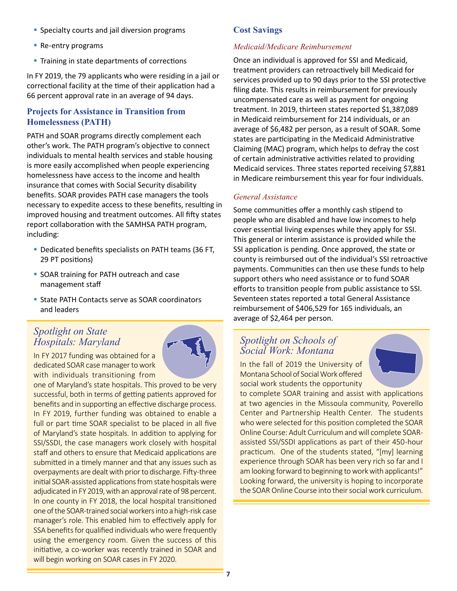- **Specialty courts and jail diversion programs**
- **Re-entry programs**
- **Training in state departments of corrections**

In FY 2019, the 79 applicants who were residing in a jail or correctional facility at the time of their application had a 66 percent approval rate in an average of 94 days.

#### **Projects for Assistance in Transition from Homelessness (PATH)**

PATH and SOAR programs directly complement each other's work. The PATH program's objective to connect individuals to mental health services and stable housing is more easily accomplished when people experiencing homelessness have access to the income and health insurance that comes with Social Security disability benefits. SOAR provides PATH case managers the tools necessary to expedite access to these benefits, resulting in improved housing and treatment outcomes. All fifty states report collaboration with the SAMHSA PATH program, including:

- Dedicated benefits specialists on PATH teams (36 FT, 29 PT positions)
- **SOAR training for PATH outreach and case** management staff
- State PATH Contacts serve as SOAR coordinators and leaders

## *Spotlight on State Hospitals: Maryland*

In FY 2017 funding was obtained for a dedicated SOAR case manager to work with individuals transitioning from



one of Maryland's state hospitals. This proved to be very successful, both in terms of getting patients approved for benefits and in supporting an effective discharge process. In FY 2019, further funding was obtained to enable a full or part time SOAR specialist to be placed in all five of Maryland's state hospitals. In addition to applying for SSI/SSDI, the case managers work closely with hospital staff and others to ensure that Medicaid applications are submitted in a timely manner and that any issues such as overpayments are dealt with prior to discharge. Fifty-three initial SOAR-assisted applications from state hospitals were adjudicated in FY 2019, with an approval rate of 98 percent. In one county in FY 2018, the local hospital transitioned one of the SOAR-trained social workers into a high-risk case manager's role. This enabled him to effectively apply for SSA benefits for qualified individuals who were frequently using the emergency room. Given the success of this initiative, a co-worker was recently trained in SOAR and will begin working on SOAR cases in FY 2020.

#### **Cost Savings**

#### *Medicaid/Medicare Reimbursement*

Once an individual is approved for SSI and Medicaid, treatment providers can retroactively bill Medicaid for services provided up to 90 days prior to the SSI protective filing date. This results in reimbursement for previously uncompensated care as well as payment for ongoing treatment. In 2019, thirteen states reported \$1,387,089 in Medicaid reimbursement for 214 individuals, or an average of \$6,482 per person, as a result of SOAR. Some states are participating in the Medicaid Administrative Claiming (MAC) program, which helps to defray the cost of certain administrative activities related to providing Medicaid services. Three states reported receiving \$7,881 in Medicare reimbursement this year for four individuals.

#### *General Assistance*

Some communities offer a monthly cash stipend to people who are disabled and have low incomes to help cover essential living expenses while they apply for SSI. This general or interim assistance is provided while the SSI application is pending. Once approved, the state or county is reimbursed out of the individual's SSI retroactive payments. Communities can then use these funds to help support others who need assistance or to fund SOAR efforts to transition people from public assistance to SSI. Seventeen states reported a total General Assistance reimbursement of \$406,529 for 165 individuals, an average of \$2,464 per person.

## *Spotlight on Schools of Social Work: Montana*

In the fall of 2019 the University of Montana School of Social Work offered social work students the opportunity



to complete SOAR training and assist with applications at two agencies in the Missoula community, Poverello Center and Partnership Health Center. The students who were selected for this position completed the SOAR Online Course: Adult Curriculum and will complete SOARassisted SSI/SSDI applications as part of their 450-hour practicum. One of the students stated, "[my] learning experience through SOAR has been very rich so far and I am looking forward to beginning to work with applicants!" Looking forward, the university is hoping to incorporate the SOAR Online Course into their social work curriculum.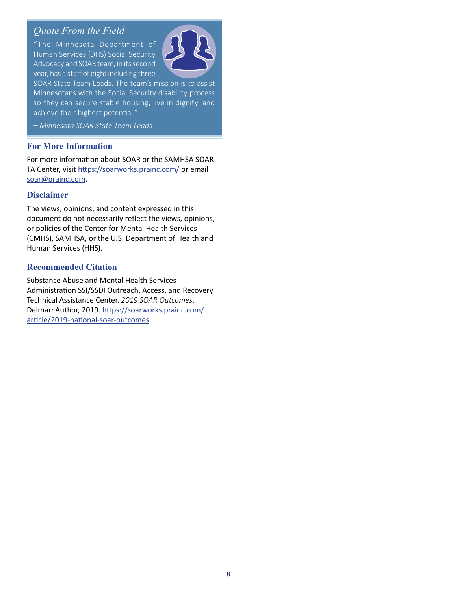## *Quote From the Field*

"The Minnesota Department of Human Services (DHS) Social Security Advocacy and SOAR team, in its second year, has a staff of eight including three



SOAR State Team Leads. The team's mission is to assist Minnesotans with the Social Security disability process so they can secure stable housing, live in dignity, and achieve their highest potential."

*– Minnesota SOAR State Team Leads*

#### **For More Information**

For more information about SOAR or the SAMHSA SOAR TA Center, visit <https://soarworks.prainc.com/> or email [soar@prainc.com](mailto:soar@prainc.com?subject=2019%20Outcomes).

#### **Disclaimer**

The views, opinions, and content expressed in this document do not necessarily reflect the views, opinions, or policies of the Center for Mental Health Services (CMHS), SAMHSA, or the U.S. Department of Health and Human Services (HHS).

#### **Recommended Citation**

Substance Abuse and Mental Health Services Administration SSI/SSDI Outreach, Access, and Recovery Technical Assistance Center. *2019 SOAR Outcomes*. Delmar: Author, 2019. [https://soarworks.prainc.com/](https://soarworks.prainc.com/article/2019-national-soar-outcomes) [article/2019-national-soar-outcomes](https://soarworks.prainc.com/article/2019-national-soar-outcomes).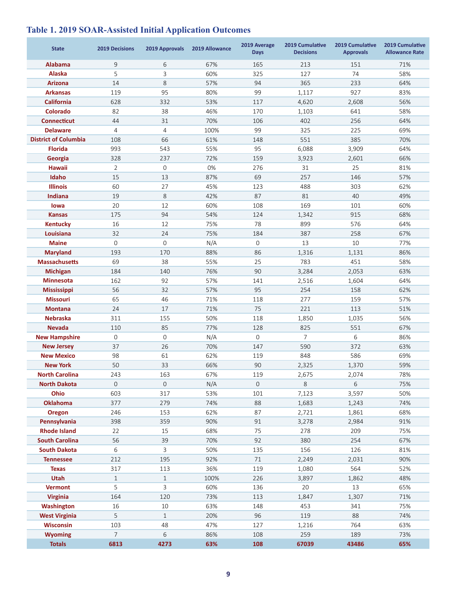| <b>State</b>                | <b>2019 Decisions</b> | 2019 Approvals | 2019 Allowance | 2019 Average<br><b>Days</b> | 2019 Cumulative<br><b>Decisions</b> | 2019 Cumulative<br><b>Approvals</b> | 2019 Cumulative<br><b>Allowance Rate</b> |
|-----------------------------|-----------------------|----------------|----------------|-----------------------------|-------------------------------------|-------------------------------------|------------------------------------------|
| <b>Alabama</b>              | 9                     | 6              | 67%            | 165                         | 213                                 | 151                                 | 71%                                      |
| <b>Alaska</b>               | 5                     | 3              | 60%            | 325                         | 127                                 | 74                                  | 58%                                      |
| <b>Arizona</b>              | 14                    | 8              | 57%            | 94                          | 365                                 | 233                                 | 64%                                      |
| <b>Arkansas</b>             | 119                   | 95             | 80%            | 99                          | 1,117                               | 927                                 | 83%                                      |
| <b>California</b>           | 628                   | 332            | 53%            | 117                         | 4,620                               | 2,608                               | 56%                                      |
| Colorado                    | 82                    | 38             | 46%            | 170                         | 1,103                               | 641                                 | 58%                                      |
| <b>Connecticut</b>          | 44                    | 31             | 70%            | 106                         | 402                                 | 256                                 | 64%                                      |
| <b>Delaware</b>             | 4                     | 4              | 100%           | 99                          | 325                                 | 225                                 | 69%                                      |
| <b>District of Columbia</b> | 108                   | 66             | 61%            | 148                         | 551                                 | 385                                 | 70%                                      |
| <b>Florida</b>              | 993                   | 543            | 55%            | 95                          | 6,088                               | 3,909                               | 64%                                      |
| Georgia                     | 328                   | 237            | 72%            | 159                         | 3,923                               | 2,601                               | 66%                                      |
| <b>Hawaii</b>               | 2                     | $\mathbf 0$    | 0%             | 276                         | 31                                  | 25                                  | 81%                                      |
| Idaho                       | 15                    | 13             | 87%            | 69                          | 257                                 | 146                                 | 57%                                      |
| <b>Illinois</b>             | 60                    | 27             | 45%            | 123                         | 488                                 | 303                                 | 62%                                      |
| <b>Indiana</b>              | 19                    | 8              | 42%            | 87                          | 81                                  | 40                                  | 49%                                      |
| lowa                        | 20                    | 12             | 60%            | 108                         | 169                                 | 101                                 | 60%                                      |
| <b>Kansas</b>               | 175                   | 94             | 54%            | 124                         | 1,342                               | 915                                 | 68%                                      |
| <b>Kentucky</b>             | 16                    | 12             | 75%            | 78                          | 899                                 | 576                                 | 64%                                      |
| Louisiana                   | 32                    | 24             | 75%            | 184                         | 387                                 | 258                                 | 67%                                      |
| <b>Maine</b>                | $\mathbf{0}$          | 0              | N/A            | 0                           | 13                                  | 10                                  | 77%                                      |
| <b>Maryland</b>             | 193                   | 170            | 88%            | 86                          | 1,316                               | 1,131                               | 86%                                      |
| <b>Massachusetts</b>        | 69                    | 38             | 55%            | 25                          | 783                                 | 451                                 | 58%                                      |
| <b>Michigan</b>             | 184                   | 140            | 76%            | 90                          | 3,284                               | 2,053                               | 63%                                      |
| <b>Minnesota</b>            | 162                   | 92             | 57%            | 141                         | 2,516                               | 1,604                               | 64%                                      |
| <b>Mississippi</b>          | 56                    | 32             | 57%            | 95                          | 254                                 | 158                                 | 62%                                      |
| <b>Missouri</b>             | 65                    | 46             | 71%            | 118                         | 277                                 | 159                                 | 57%                                      |
| <b>Montana</b>              | 24                    | 17             | 71%            | 75                          | 221                                 | 113                                 | 51%                                      |
| <b>Nebraska</b>             | 311                   | 155            | 50%            | 118                         | 1,850                               | 1,035                               | 56%                                      |
| <b>Nevada</b>               | 110                   | 85             | 77%            | 128                         | 825                                 | 551                                 | 67%                                      |
| <b>New Hampshire</b>        | 0                     | $\mathbf 0$    | N/A            | $\mathbf 0$                 | 7                                   | 6                                   | 86%                                      |
| <b>New Jersey</b>           | 37                    | 26             | 70%            | 147                         | 590                                 | 372                                 | 63%                                      |
| <b>New Mexico</b>           | 98                    | 61             | 62%            | 119                         | 848                                 | 586                                 | 69%                                      |
| <b>New York</b>             | 50                    | 33             | 66%            | 90                          | 2,325                               | 1,370                               | 59%                                      |
| <b>North Carolina</b>       | 243                   | 163            | 67%            | 119                         | 2,675                               | 2,074                               | 78%                                      |
| <b>North Dakota</b>         | 0                     | $\mathbf 0$    | N/A            | $\mathsf{O}$                | 8                                   | 6                                   | 75%                                      |
| Ohio                        | 603                   | 317            | 53%            | 101                         | 7,123                               | 3,597                               | 50%                                      |
| <b>Oklahoma</b>             | 377                   | 279            | 74%            | 88                          | 1,683                               | 1,243                               | 74%                                      |
| <b>Oregon</b>               | 246                   | 153            | 62%            | 87                          | 2,721                               | 1,861                               | 68%                                      |
| Pennsylvania                | 398                   | 359            | 90%            | 91                          | 3,278                               | 2,984                               | 91%                                      |
| <b>Rhode Island</b>         | 22                    | 15             | 68%            | 75                          | 278                                 | 209                                 | 75%                                      |
| <b>South Carolina</b>       | 56                    | 39             | 70%            | 92                          | 380                                 | 254                                 | 67%                                      |
| <b>South Dakota</b>         | 6                     | 3              | 50%            | 135                         | 156                                 | 126                                 | 81%                                      |
| <b>Tennessee</b>            | 212                   | 195            | 92%            | $71\,$                      | 2,249                               | 2,031                               | 90%                                      |
| <b>Texas</b>                | 317                   | 113            | 36%            | 119                         | 1,080                               | 564                                 | 52%                                      |
| Utah                        | $\mathbf{1}$          | $\mathbf{1}$   | 100%           | 226                         | 3,897                               | 1,862                               | 48%                                      |
| <b>Vermont</b>              | 5                     | 3              | 60%            | 136                         | 20                                  | 13                                  | 65%                                      |
| <b>Virginia</b>             | 164                   | 120            | 73%            | 113                         | 1,847                               | 1,307                               | 71%                                      |
| Washington                  | 16                    | 10             | 63%            | 148                         | 453                                 | 341                                 | 75%                                      |
| <b>West Virginia</b>        | 5                     | $\mathbf{1}$   | 20%            | 96                          | 119                                 | 88                                  | 74%                                      |
| <b>Wisconsin</b>            | 103                   | 48             | 47%            | 127                         | 1,216                               | 764                                 | 63%                                      |
| <b>Wyoming</b>              | $\overline{7}$        | 6              | 86%            | 108                         | 259                                 | 189                                 | 73%                                      |
| <b>Totals</b>               | 6813                  | 4273           | 63%            | 108                         | 67039                               | 43486                               | 65%                                      |

## **Table 1. 2019 SOAR-Assisted Initial Application Outcomes**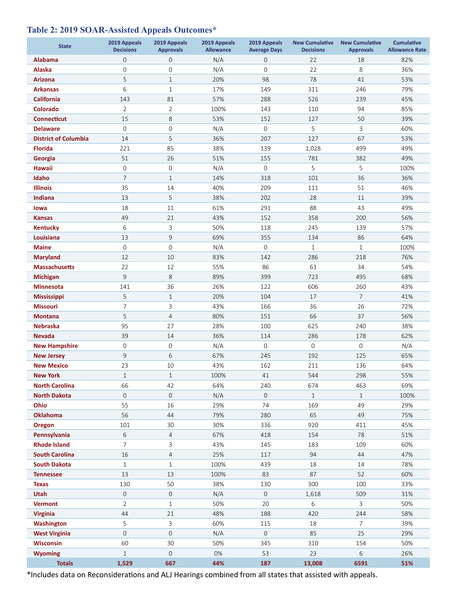## **Table 2: 2019 SOAR-Assisted Appeals Outcomes\***

| <b>State</b>                                 | 2019 Appeals<br><b>Decisions</b> | 2019 Appeals<br><b>Approvals</b> | 2019 Appeals<br><b>Allowance</b> | 2019 Appeals<br><b>Average Days</b> | <b>New Cumulative</b><br><b>Decisions</b> | <b>New Cumulative</b><br><b>Approvals</b> | <b>Cumulative</b><br><b>Allowance Rate</b> |
|----------------------------------------------|----------------------------------|----------------------------------|----------------------------------|-------------------------------------|-------------------------------------------|-------------------------------------------|--------------------------------------------|
| <b>Alabama</b>                               | $\mathsf{O}\xspace$              | 0                                | N/A                              | 0                                   | 22                                        | 18                                        | 82%                                        |
| <b>Alaska</b>                                | $\mathbf 0$                      | $\mathsf{O}\xspace$              | N/A                              | $\mathbf 0$                         | 22                                        | 8                                         | 36%                                        |
| <b>Arizona</b>                               | 5                                | $\mathbf{1}$                     | 20%                              | 98                                  | 78                                        | 41                                        | 53%                                        |
| <b>Arkansas</b>                              | 6                                | $\mathbf{1}$                     | 17%                              | 149                                 | 311                                       | 246                                       | 79%                                        |
| <b>California</b>                            | 143                              | 81                               | 57%                              | 288                                 | 526                                       | 239                                       | 45%                                        |
| <b>Colorado</b>                              | $\overline{2}$                   | $\overline{2}$                   | 100%                             | 143                                 | 110                                       | 94                                        | 85%                                        |
| <b>Connecticut</b>                           | 15                               | 8                                | 53%                              | 152                                 | 127                                       | 50                                        | 39%                                        |
| <b>Delaware</b>                              | $\mathbf 0$                      | $\mathsf{O}\xspace$              | N/A                              | 0                                   | 5                                         | 3                                         | 60%                                        |
| <b>District of Columbia</b>                  | 14                               | 5                                | 36%                              | 207                                 | 127                                       | 67                                        | 53%                                        |
| <b>Florida</b>                               | 221                              | 85                               | 38%                              | 139                                 | 1,028                                     | 499                                       | 49%                                        |
| Georgia                                      | 51                               | 26                               | 51%                              | 155                                 | 781                                       | 382                                       | 49%                                        |
| Hawaii                                       | 0                                | $\mathsf{O}\xspace$              | N/A                              | $\mathbf 0$                         | 5                                         | 5                                         | 100%                                       |
| Idaho                                        | $\overline{7}$                   | $\mathbf{1}$                     | 14%                              | 318                                 | 101                                       | 36                                        | 36%                                        |
| <b>Illinois</b>                              | 35                               | 14                               | 40%                              | 209                                 | 111                                       | 51                                        | 46%                                        |
| Indiana                                      | 13                               | 5                                | 38%                              | 202                                 | 28                                        | 11                                        | 39%                                        |
| lowa                                         | 18                               | 11                               | 61%                              | 291                                 | 88                                        | 43                                        | 49%                                        |
| <b>Kansas</b>                                | 49                               | 21                               | 43%                              | 152                                 | 358                                       | 200                                       | 56%                                        |
| <b>Kentucky</b>                              | 6                                | 3                                | 50%                              | 118                                 | 245                                       | 139                                       | 57%                                        |
| Louisiana                                    | 13                               | 9                                | 69%                              | 355                                 | 134                                       | 86                                        | 64%                                        |
| <b>Maine</b>                                 | $\mathbf 0$                      | $\mathsf{O}\xspace$              | N/A                              | $\mathbf 0$                         | $\mathbf{1}$                              | 1                                         | 100%                                       |
| <b>Maryland</b>                              | 12                               | 10                               | 83%                              | 142                                 | 286                                       | 218                                       | 76%                                        |
| <b>Massachusetts</b>                         | 22                               | 12                               | 55%                              | 86                                  | 63                                        | 34                                        | 54%                                        |
| <b>Michigan</b>                              | $\mathsf 9$                      | 8                                | 89%                              | 399                                 | 723                                       | 495                                       | 68%                                        |
| <b>Minnesota</b>                             | 141                              | 36                               | 26%                              | 122                                 | 606                                       | 260                                       | 43%                                        |
| <b>Mississippi</b>                           | 5                                | $\mathbf{1}$                     | 20%                              | 104                                 | 17                                        | $\overline{7}$                            | 41%                                        |
| <b>Missouri</b>                              | $\overline{7}$                   | 3                                | 43%                              | 166                                 | 36                                        | 26                                        | 72%                                        |
| <b>Montana</b>                               | 5                                | $\overline{4}$                   | 80%                              | 151                                 | 66                                        | 37                                        | 56%                                        |
| <b>Nebraska</b>                              | 95                               | 27                               | 28%                              | 100                                 | 625                                       | 240                                       | 38%                                        |
| <b>Nevada</b>                                | 39                               | 14                               | 36%                              | 114                                 | 286                                       | 178                                       | 62%                                        |
| <b>New Hampshire</b>                         | 0                                | 0                                | N/A                              | $\mathbf 0$                         | 0                                         | 0                                         | N/A                                        |
| <b>New Jersey</b>                            | 9                                | 6                                | 67%                              | 245                                 | 192                                       | 125                                       | 65%                                        |
| <b>New Mexico</b>                            | 23                               | 10                               | 43%                              | 162                                 | 211                                       | 136                                       | 64%                                        |
| <b>New York</b>                              | $\mathbf{1}$                     | $1\,$                            | 100%                             | 41                                  | 544                                       | 298                                       | 55%                                        |
| <b>North Carolina</b>                        | 66                               | 42                               | 64%                              | 240                                 | 674                                       | 463                                       | 69%                                        |
| <b>North Dakota</b>                          | $\mathsf{O}\xspace$              | $\boldsymbol{0}$                 | N/A                              | $\mathbf 0$                         | $\mathbf{1}$                              | 1                                         | 100%                                       |
| Ohio                                         | 55                               | 16                               | 29%                              | 74                                  | 169                                       | 49                                        | 29%                                        |
| <b>Oklahoma</b>                              | 56                               | 44                               | 79%                              | 280                                 | 65                                        | 49                                        | 75%                                        |
| <b>Oregon</b>                                | 101                              | 30                               | 30%                              | 336                                 | 920                                       | 411                                       | 45%                                        |
| Pennsylvania                                 | $\,$ 6 $\,$<br>7                 | $\overline{4}$                   | 67%                              | 418                                 | 154                                       | 78                                        | 51%                                        |
| <b>Rhode Island</b>                          |                                  | 3                                | 43%                              | 145                                 | 183                                       | 109                                       | 60%                                        |
| <b>South Carolina</b><br><b>South Dakota</b> | 16<br>$\mathbf{1}$               | 4<br>$\mathbf{1}$                | 25%<br>100%                      | 117<br>439                          | 94<br>18                                  | 44<br>14                                  | 47%<br>78%                                 |
| <b>Tennessee</b>                             | 13                               | 13                               | 100%                             | 83                                  | 87                                        | 52                                        | 60%                                        |
| <b>Texas</b>                                 | 130                              | 50                               | 38%                              | 130                                 | 300                                       | 100                                       | 33%                                        |
| <b>Utah</b>                                  | $\mathsf{O}\xspace$              | $\mathsf{O}\xspace$              | N/A                              | 0                                   |                                           | 509                                       | 31%                                        |
| <b>Vermont</b>                               | $\overline{2}$                   | $\mathbf{1}$                     | 50%                              | 20                                  | 1,618<br>6                                | 3                                         | 50%                                        |
| <b>Virginia</b>                              | 44                               | 21                               | 48%                              | 188                                 | 420                                       | 244                                       | 58%                                        |
| <b>Washington</b>                            | 5                                | 3                                | 60%                              | 115                                 | 18                                        | 7                                         | 39%                                        |
| <b>West Virginia</b>                         | $\mathsf{O}\xspace$              | $\mathsf{O}$                     | N/A                              | 0                                   | 85                                        | 25                                        | 29%                                        |
| <b>Wisconsin</b>                             | 60                               | 30                               | 50%                              | 345                                 | 310                                       | 154                                       | 50%                                        |
| <b>Wyoming</b>                               | $\mathbf{1}$                     | $\mathbf 0$                      | 0%                               | 53                                  | 23                                        | 6                                         | 26%                                        |
|                                              |                                  |                                  | 44%                              | 187                                 | 13,008                                    | 6591                                      | 51%                                        |

\*Includes data on Reconsiderations and ALJ Hearings combined from all states that assisted with appeals.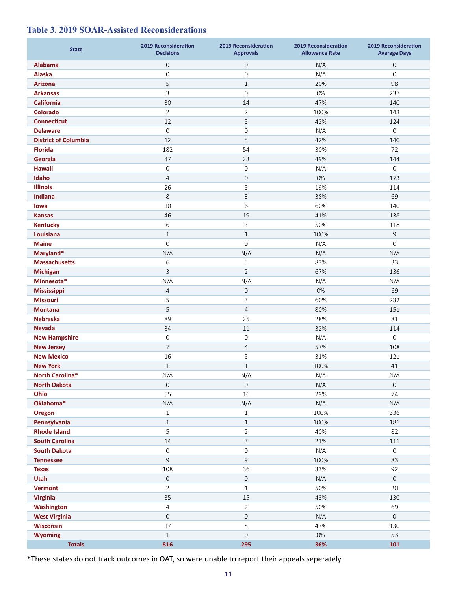## **Table 3. 2019 SOAR-Assisted Reconsiderations**

| <b>State</b>                                 | <b>2019 Reconsideration</b><br><b>Decisions</b> | <b>2019 Reconsideration</b><br><b>Approvals</b> | <b>2019 Reconsideration</b><br><b>Allowance Rate</b> | <b>2019 Reconsideration</b><br><b>Average Days</b> |
|----------------------------------------------|-------------------------------------------------|-------------------------------------------------|------------------------------------------------------|----------------------------------------------------|
| <b>Alabama</b>                               | $\boldsymbol{0}$                                | $\mathsf{O}\xspace$                             | N/A                                                  | 0                                                  |
| <b>Alaska</b>                                | 0                                               | $\mathbf 0$                                     | N/A                                                  | $\mathbf 0$                                        |
| <b>Arizona</b>                               | 5                                               | $\mathbf{1}$                                    | 20%                                                  | 98                                                 |
| <b>Arkansas</b>                              | 3                                               | $\mathbf 0$                                     | 0%                                                   | 237                                                |
| <b>California</b>                            | 30                                              | 14                                              | 47%                                                  | 140                                                |
| <b>Colorado</b>                              | $\overline{2}$                                  | $\overline{2}$                                  | 100%                                                 | 143                                                |
| <b>Connecticut</b>                           | 12                                              | 5                                               | 42%                                                  | 124                                                |
| <b>Delaware</b>                              | 0                                               | $\mathbf 0$                                     | N/A                                                  | 0                                                  |
| <b>District of Columbia</b>                  | 12                                              | 5                                               | 42%                                                  | 140                                                |
| <b>Florida</b>                               | 182                                             | 54                                              | 30%                                                  | 72                                                 |
| Georgia                                      | 47                                              | 23                                              | 49%                                                  | 144                                                |
| <b>Hawaii</b>                                | 0                                               | $\mathbf 0$                                     | N/A                                                  | 0                                                  |
| Idaho                                        | $\overline{4}$                                  | $\mathbf 0$                                     | $0\%$                                                | 173                                                |
| <b>Illinois</b>                              | 26                                              | 5                                               | 19%                                                  | 114                                                |
| Indiana                                      | $\,8\,$                                         | $\mathsf{3}$                                    | 38%                                                  | 69                                                 |
| lowa                                         | 10                                              | 6                                               | 60%                                                  | 140                                                |
| <b>Kansas</b>                                | 46                                              | 19                                              | 41%                                                  | 138                                                |
| <b>Kentucky</b>                              | 6                                               | $\ensuremath{\mathsf{3}}$                       | 50%                                                  | 118                                                |
| Louisiana                                    | $\mathbf{1}$                                    | $\mathbf{1}$                                    | 100%                                                 | $\mathsf 9$                                        |
| <b>Maine</b>                                 | 0                                               | $\overline{0}$                                  | N/A                                                  | 0                                                  |
| Maryland*                                    | N/A                                             | N/A                                             | N/A                                                  | N/A                                                |
| <b>Massachusetts</b>                         | 6                                               | 5                                               | 83%                                                  | 33                                                 |
| <b>Michigan</b>                              | 3                                               | $\overline{2}$                                  | 67%                                                  | 136                                                |
| Minnesota*                                   | N/A                                             | N/A                                             | N/A                                                  | N/A                                                |
| Mississippi                                  | $\overline{4}$                                  | $\mathsf{O}$                                    | $0\%$                                                | 69                                                 |
| <b>Missouri</b>                              | 5                                               | 3                                               | 60%                                                  | 232                                                |
| <b>Montana</b>                               | 5                                               | $\overline{4}$                                  | 80%                                                  | 151                                                |
| <b>Nebraska</b>                              | 89                                              | 25                                              | 28%                                                  | 81                                                 |
| <b>Nevada</b>                                | 34                                              | 11                                              | 32%                                                  | 114                                                |
| <b>New Hampshire</b>                         | 0                                               | $\mathbf 0$                                     | N/A                                                  | 0                                                  |
| <b>New Jersey</b>                            | 7                                               | $\overline{4}$                                  | 57%                                                  | 108                                                |
| <b>New Mexico</b>                            | 16                                              | 5                                               | 31%                                                  | 121                                                |
| <b>New York</b>                              | $\mathbf{1}$                                    | $\mathbf{1}$                                    | 100%                                                 | 41                                                 |
| North Carolina*                              | N/A                                             | N/A                                             | N/A                                                  | N/A                                                |
| <b>North Dakota</b>                          | $\mathsf{O}\xspace$                             | $\mathsf{O}\xspace$                             | N/A                                                  | 0                                                  |
| Ohio                                         | 55                                              | 16                                              | 29%                                                  | 74                                                 |
| Oklahoma*                                    | N/A                                             | N/A                                             | N/A                                                  | N/A                                                |
| Oregon                                       | $\mathbf{1}$                                    | $\mathbf{1}$                                    | 100%                                                 | 336                                                |
| Pennsylvania                                 | $\mathbf{1}$                                    | $\mathbf{1}$                                    | 100%                                                 | 181                                                |
| <b>Rhode Island</b>                          | 5                                               | $\overline{2}$                                  | 40%                                                  | 82                                                 |
| <b>South Carolina</b><br><b>South Dakota</b> | 14<br>0                                         | $\mathbf{3}$<br>$\mathsf{O}\xspace$             | 21%<br>N/A                                           | 111<br>$\,0\,$                                     |
| <b>Tennessee</b>                             | $\mathsf 9$                                     | $\mathsf 9$                                     | 100%                                                 |                                                    |
|                                              | 108                                             | 36                                              | 33%                                                  | 83<br>92                                           |
| <b>Texas</b><br>Utah                         | $\mathsf{O}\xspace$                             | $\mathsf{O}\xspace$                             | N/A                                                  | $\mathbf 0$                                        |
| <b>Vermont</b>                               | $\overline{2}$                                  | $1\,$                                           | 50%                                                  | 20                                                 |
| <b>Virginia</b>                              | 35                                              | 15                                              | 43%                                                  | 130                                                |
|                                              | 4                                               | $\overline{2}$                                  | 50%                                                  | 69                                                 |
| Washington<br><b>West Virginia</b>           | 0                                               | $\mathbf 0$                                     | N/A                                                  | $\mathsf O$                                        |
| <b>Wisconsin</b>                             | 17                                              | 8                                               | 47%                                                  | 130                                                |
| <b>Wyoming</b>                               | $\mathbf{1}$                                    | $\boldsymbol{0}$                                | $0\%$                                                | 53                                                 |
| <b>Totals</b>                                | 816                                             | 295                                             | 36%                                                  | 101                                                |
|                                              |                                                 |                                                 |                                                      |                                                    |

\*These states do not track outcomes in OAT, so were unable to report their appeals seperately.